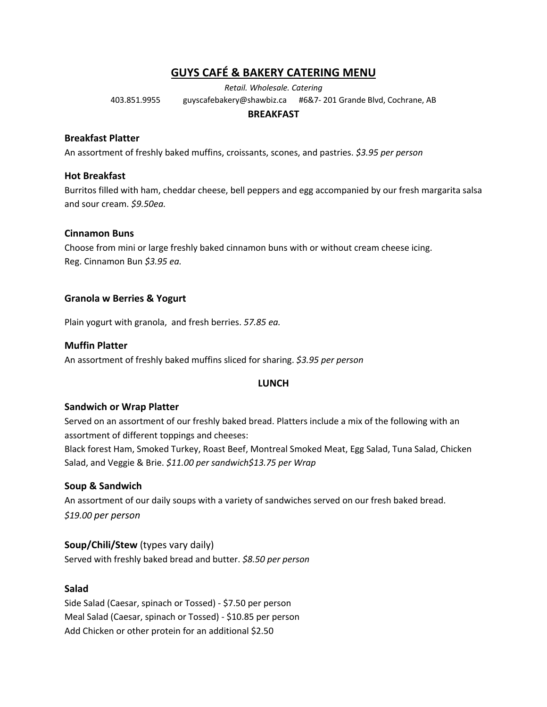# **GUYS CAFÉ & BAKERY CATERING MENU**

*Retail. Wholesale. Catering*

403.851.9955 guyscafebakery@shawbiz.ca #6&7- 201 Grande Blvd, Cochrane, AB

### **BREAKFAST**

### **Breakfast Platter**

An assortment of freshly baked muffins, croissants, scones, and pastries. *\$3.95 per person*

### **Hot Breakfast**

Burritos filled with ham, cheddar cheese, bell peppers and egg accompanied by our fresh margarita salsa and sour cream. *\$9.50ea.*

### **Cinnamon Buns**

Choose from mini or large freshly baked cinnamon buns with or without cream cheese icing. Reg. Cinnamon Bun *\$3.95 ea.* 

### **Granola w Berries & Yogurt**

Plain yogurt with granola, and fresh berries. *57.85 ea.*

### **Muffin Platter**

An assortment of freshly baked muffins sliced for sharing. *\$3.95 per person*

### **LUNCH**

### **Sandwich or Wrap Platter**

Served on an assortment of our freshly baked bread. Platters include a mix of the following with an assortment of different toppings and cheeses:

Black forest Ham, Smoked Turkey, Roast Beef, Montreal Smoked Meat, Egg Salad, Tuna Salad, Chicken Salad, and Veggie & Brie. *\$11.00 per sandwich\$13.75 per Wrap*

### **Soup & Sandwich**

An assortment of our daily soups with a variety of sandwiches served on our fresh baked bread. *\$19.00 per person*

### **Soup/Chili/Stew** (types vary daily)

Served with freshly baked bread and butter. *\$8.50 per person*

### **Salad**

Side Salad (Caesar, spinach or Tossed) - \$7.50 per person Meal Salad (Caesar, spinach or Tossed) - \$10.85 per person Add Chicken or other protein for an additional \$2.50